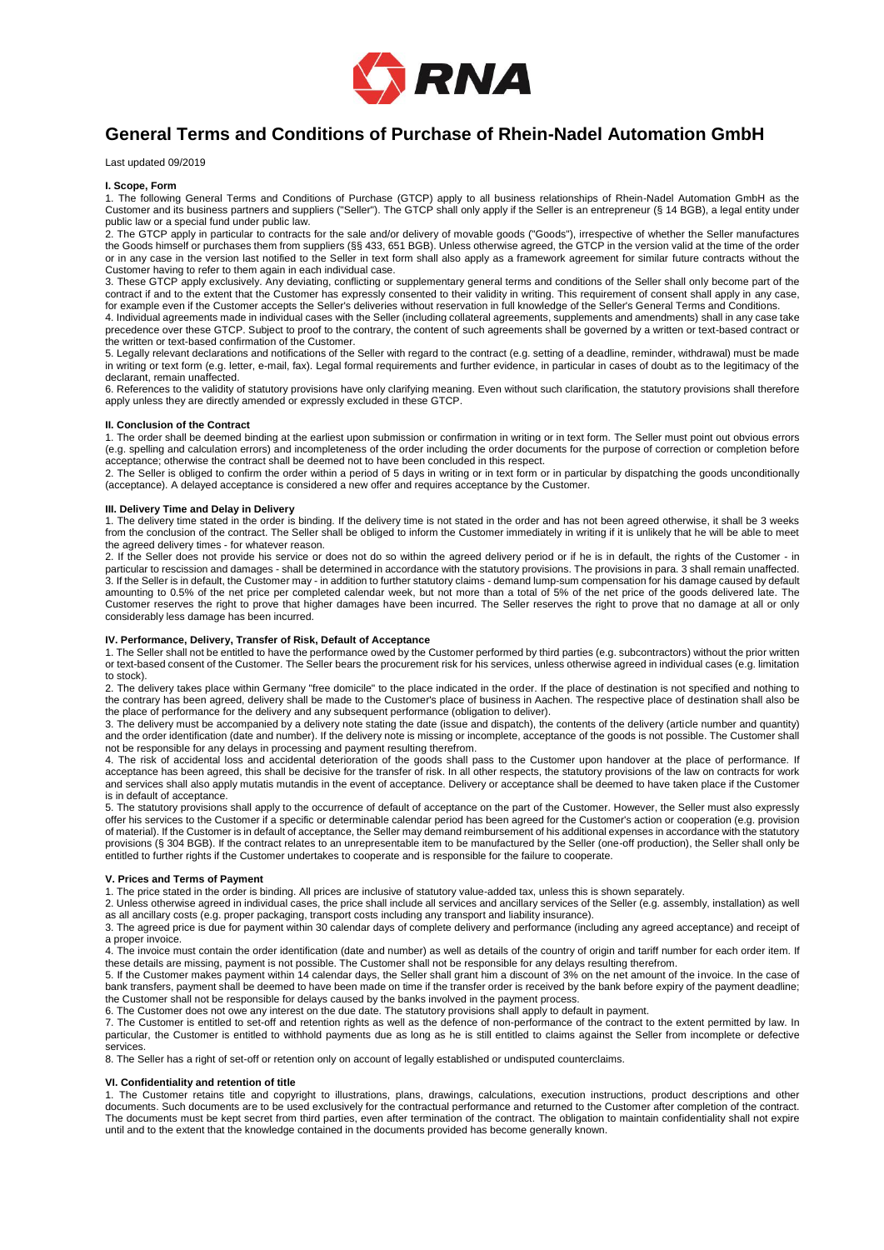

# **General Terms and Conditions of Purchase of Rhein-Nadel Automation GmbH**

Last updated 09/2019

# **I. Scope, Form**

1. The following General Terms and Conditions of Purchase (GTCP) apply to all business relationships of Rhein-Nadel Automation GmbH as the Customer and its business partners and suppliers ("Seller"). The GTCP shall only apply if the Seller is an entrepreneur (§ 14 BGB), a legal entity under public law or a special fund under public law.

2. The GTCP apply in particular to contracts for the sale and/or delivery of movable goods ("Goods"), irrespective of whether the Seller manufactures the Goods himself or purchases them from suppliers (§§ 433, 651 BGB). Unless otherwise agreed, the GTCP in the version valid at the time of the order or in any case in the version last notified to the Seller in text form shall also apply as a framework agreement for similar future contracts without the Customer having to refer to them again in each individual case.

3. These GTCP apply exclusively. Any deviating, conflicting or supplementary general terms and conditions of the Seller shall only become part of the contract if and to the extent that the Customer has expressly consented to their validity in writing. This requirement of consent shall apply in any case, for example even if the Customer accepts the Seller's deliveries without reservation in full knowledge of the Seller's General Terms and Conditions.

4. Individual agreements made in individual cases with the Seller (including collateral agreements, supplements and amendments) shall in any case take precedence over these GTCP. Subject to proof to the contrary, the content of such agreements shall be governed by a written or text-based contract or the written or text-based confirmation of the Customer.

5. Legally relevant declarations and notifications of the Seller with regard to the contract (e.g. setting of a deadline, reminder, withdrawal) must be made in writing or text form (e.g. letter, e-mail, fax). Legal formal requirements and further evidence, in particular in cases of doubt as to the legitimacy of the declarant, remain unaffected.

6. References to the validity of statutory provisions have only clarifying meaning. Even without such clarification, the statutory provisions shall therefore apply unless they are directly amended or expressly excluded in these GTCP.

# **II. Conclusion of the Contract**

1. The order shall be deemed binding at the earliest upon submission or confirmation in writing or in text form. The Seller must point out obvious errors (e.g. spelling and calculation errors) and incompleteness of the order including the order documents for the purpose of correction or completion before acceptance; otherwise the contract shall be deemed not to have been concluded in this respect.

2. The Seller is obliged to confirm the order within a period of 5 days in writing or in text form or in particular by dispatching the goods unconditionally (acceptance). A delayed acceptance is considered a new offer and requires acceptance by the Customer.

## **III. Delivery Time and Delay in Delivery**

1. The delivery time stated in the order is binding. If the delivery time is not stated in the order and has not been agreed otherwise, it shall be 3 weeks from the conclusion of the contract. The Seller shall be obliged to inform the Customer immediately in writing if it is unlikely that he will be able to meet the agreed delivery times - for whatever reason.

2. If the Seller does not provide his service or does not do so within the agreed delivery period or if he is in default, the rights of the Customer - in particular to rescission and damages - shall be determined in accordance with the statutory provisions. The provisions in para. 3 shall remain unaffected. 3. If the Seller is in default, the Customer may - in addition to further statutory claims - demand lump-sum compensation for his damage caused by default amounting to 0.5% of the net price per completed calendar week, but not more than a total of 5% of the net price of the goods delivered late. The Customer reserves the right to prove that higher damages have been incurred. The Seller reserves the right to prove that no damage at all or only considerably less damage has been incurred.

## **IV. Performance, Delivery, Transfer of Risk, Default of Acceptance**

1. The Seller shall not be entitled to have the performance owed by the Customer performed by third parties (e.g. subcontractors) without the prior written or text-based consent of the Customer. The Seller bears the procurement risk for his services, unless otherwise agreed in individual cases (e.g. limitation to stock).

2. The delivery takes place within Germany "free domicile" to the place indicated in the order. If the place of destination is not specified and nothing to the contrary has been agreed, delivery shall be made to the Customer's place of business in Aachen. The respective place of destination shall also be the place of performance for the delivery and any subsequent performance (obligation to deliver).

3. The delivery must be accompanied by a delivery note stating the date (issue and dispatch), the contents of the delivery (article number and quantity) and the order identification (date and number). If the delivery note is missing or incomplete, acceptance of the goods is not possible. The Customer shall not be responsible for any delays in processing and payment resulting therefrom.

4. The risk of accidental loss and accidental deterioration of the goods shall pass to the Customer upon handover at the place of performance. If acceptance has been agreed, this shall be decisive for the transfer of risk. In all other respects, the statutory provisions of the law on contracts for work and services shall also apply mutatis mutandis in the event of acceptance. Delivery or acceptance shall be deemed to have taken place if the Customer is in default of acceptance.

5. The statutory provisions shall apply to the occurrence of default of acceptance on the part of the Customer. However, the Seller must also expressly offer his services to the Customer if a specific or determinable calendar period has been agreed for the Customer's action or cooperation (e.g. provision of material). If the Customer is in default of acceptance, the Seller may demand reimbursement of his additional expenses in accordance with the statutory provisions (§ 304 BGB). If the contract relates to an unrepresentable item to be manufactured by the Seller (one-off production), the Seller shall only be entitled to further rights if the Customer undertakes to cooperate and is responsible for the failure to cooperate.

# **V. Prices and Terms of Payment**

1. The price stated in the order is binding. All prices are inclusive of statutory value-added tax, unless this is shown separately.

2. Unless otherwise agreed in individual cases, the price shall include all services and ancillary services of the Seller (e.g. assembly, installation) as well

as all ancillary costs (e.g. proper packaging, transport costs including any transport and liability insurance). 3. The agreed price is due for payment within 30 calendar days of complete delivery and performance (including any agreed acceptance) and receipt of a proper invoice.

4. The invoice must contain the order identification (date and number) as well as details of the country of origin and tariff number for each order item. If these details are missing, payment is not possible. The Customer shall not be responsible for any delays resulting therefrom.

5. If the Customer makes payment within 14 calendar days, the Seller shall grant him a discount of 3% on the net amount of the invoice. In the case of bank transfers, payment shall be deemed to have been made on time if the transfer order is received by the bank before expiry of the payment deadline; the Customer shall not be responsible for delays caused by the banks involved in the payment process.

6. The Customer does not owe any interest on the due date. The statutory provisions shall apply to default in payment.

7. The Customer is entitled to set-off and retention rights as well as the defence of non-performance of the contract to the extent permitted by law. In particular, the Customer is entitled to withhold payments due as long as he is still entitled to claims against the Seller from incomplete or defective services.

8. The Seller has a right of set-off or retention only on account of legally established or undisputed counterclaims.

# **VI. Confidentiality and retention of title**

1. The Customer retains title and copyright to illustrations, plans, drawings, calculations, execution instructions, product descriptions and other documents. Such documents are to be used exclusively for the contractual performance and returned to the Customer after completion of the contract. The documents must be kept secret from third parties, even after termination of the contract. The obligation to maintain confidentiality shall not expire until and to the extent that the knowledge contained in the documents provided has become generally known.